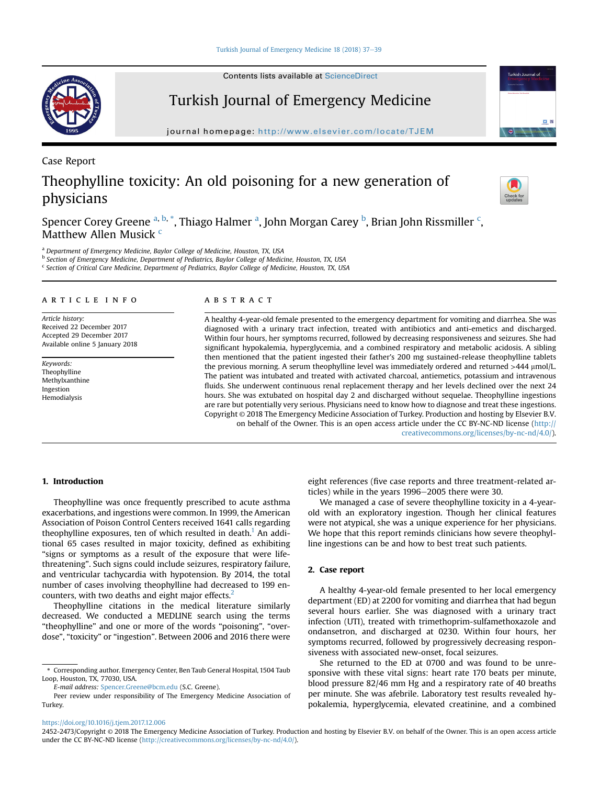### [Turkish Journal of Emergency Medicine 18 \(2018\) 37](https://doi.org/10.1016/j.tjem.2017.12.006)-[39](https://doi.org/10.1016/j.tjem.2017.12.006)

Contents lists available at ScienceDirect

# Turkish Journal of Emergency Medicine

journal homepage: <http://www.elsevier.com/locate/TJEM>

Case Report

# Theophylline toxicity: An old poisoning for a new generation of physicians

Spencer Corey Greene <sup>a, b,</sup> \*, Thiago Halmer <sup>a</sup>, John Morgan Carey <sup>b</sup>, Brian John Rissmiller <sup>c</sup>, Matthew Allen Musick<sup>c</sup>

<sup>a</sup> Department of Emergency Medicine, Baylor College of Medicine, Houston, TX, USA

<sup>b</sup> Section of Emergency Medicine, Department of Pediatrics, Baylor College of Medicine, Houston, TX, USA

 $c$  Section of Critical Care Medicine, Department of Pediatrics, Baylor College of Medicine, Houston, TX, USA

## article info

Article history: Received 22 December 2017 Accepted 29 December 2017 Available online 5 January 2018

Keywords: **Theophylline** Methylxanthine Ingestion Hemodialysis

## **ABSTRACT**

A healthy 4-year-old female presented to the emergency department for vomiting and diarrhea. She was diagnosed with a urinary tract infection, treated with antibiotics and anti-emetics and discharged. Within four hours, her symptoms recurred, followed by decreasing responsiveness and seizures. She had significant hypokalemia, hyperglycemia, and a combined respiratory and metabolic acidosis. A sibling then mentioned that the patient ingested their father's 200 mg sustained-release theophylline tablets the previous morning. A serum theophylline level was immediately ordered and returned >444  $\mu$ mol/L. The patient was intubated and treated with activated charcoal, antiemetics, potassium and intravenous fluids. She underwent continuous renal replacement therapy and her levels declined over the next 24 hours. She was extubated on hospital day 2 and discharged without sequelae. Theophylline ingestions are rare but potentially very serious. Physicians need to know how to diagnose and treat these ingestions. Copyright © 2018 The Emergency Medicine Association of Turkey. Production and hosting by Elsevier B.V. on behalf of the Owner. This is an open access article under the CC BY-NC-ND license [\(http://](http://creativecommons.org/licenses/by-nc-nd/4.0/) [creativecommons.org/licenses/by-nc-nd/4.0/](http://creativecommons.org/licenses/by-nc-nd/4.0/)).

#### 1. Introduction

Theophylline was once frequently prescribed to acute asthma exacerbations, and ingestions were common. In 1999, the American Association of Poison Control Centers received 1641 calls regarding theophylline exposures, ten of which resulted in death.<sup>1</sup> An additional 65 cases resulted in major toxicity, defined as exhibiting "signs or symptoms as a result of the exposure that were lifethreatening". Such signs could include seizures, respiratory failure, and ventricular tachycardia with hypotension. By 2014, the total number of cases involving theophylline had decreased to 199 encounters, with two deaths and eight major effects.<sup>2</sup>

Theophylline citations in the medical literature similarly decreased. We conducted a MEDLINE search using the terms "theophylline" and one or more of the words "poisoning", "overdose", "toxicity" or "ingestion". Between 2006 and 2016 there were

E-mail address: [Spencer.Greene@bcm.edu](mailto:Spencer.Greene@bcm.edu) (S.C. Greene).

eight references (five case reports and three treatment-related articles) while in the years  $1996-2005$  there were 30.

We managed a case of severe theophylline toxicity in a 4-yearold with an exploratory ingestion. Though her clinical features were not atypical, she was a unique experience for her physicians. We hope that this report reminds clinicians how severe theophylline ingestions can be and how to best treat such patients.

#### 2. Case report

A healthy 4-year-old female presented to her local emergency department (ED) at 2200 for vomiting and diarrhea that had begun several hours earlier. She was diagnosed with a urinary tract infection (UTI), treated with trimethoprim-sulfamethoxazole and ondansetron, and discharged at 0230. Within four hours, her symptoms recurred, followed by progressively decreasing responsiveness with associated new-onset, focal seizures.

She returned to the ED at 0700 and was found to be unresponsive with these vital signs: heart rate 170 beats per minute, blood pressure 82/46 mm Hg and a respiratory rate of 40 breaths per minute. She was afebrile. Laboratory test results revealed hypokalemia, hyperglycemia, elevated creatinine, and a combined

<https://doi.org/10.1016/j.tjem.2017.12.006>







<sup>\*</sup> Corresponding author. Emergency Center, Ben Taub General Hospital, 1504 Taub Loop, Houston, TX, 77030, USA.

Peer review under responsibility of The Emergency Medicine Association of Turkey.

<sup>2452-2473/</sup>Copyright © 2018 The Emergency Medicine Association of Turkey. Production and hosting by Elsevier B.V. on behalf of the Owner. This is an open access article under the CC BY-NC-ND license ([http://creativecommons.org/licenses/by-nc-nd/4.0/\)](http://creativecommons.org/licenses/by-nc-nd/4.0/).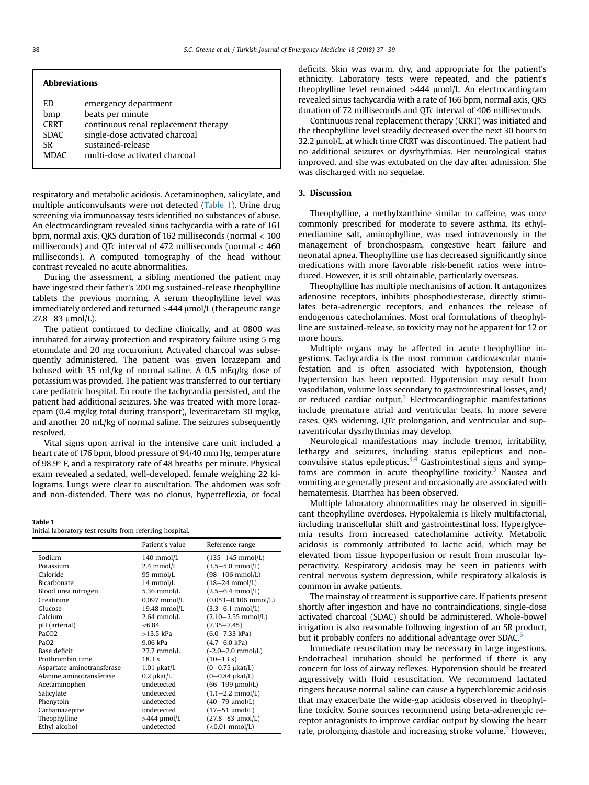| <b>Abbreviations</b> |                                      |  |  |  |  |
|----------------------|--------------------------------------|--|--|--|--|
| ED                   | emergency department                 |  |  |  |  |
| bmp                  | beats per minute                     |  |  |  |  |
| <b>CRRT</b>          | continuous renal replacement therapy |  |  |  |  |
| <b>SDAC</b>          | single-dose activated charcoal       |  |  |  |  |
| SR.                  | sustained-release                    |  |  |  |  |
| MDAC                 | multi-dose activated charcoal        |  |  |  |  |

respiratory and metabolic acidosis. Acetaminophen, salicylate, and multiple anticonvulsants were not detected (Table 1). Urine drug screening via immunoassay tests identified no substances of abuse. An electrocardiogram revealed sinus tachycardia with a rate of 161 bpm, normal axis, QRS duration of 162 milliseconds (normal < 100 milliseconds) and QTc interval of 472 milliseconds (normal < 460 milliseconds). A computed tomography of the head without contrast revealed no acute abnormalities.

During the assessment, a sibling mentioned the patient may have ingested their father's 200 mg sustained-release theophylline tablets the previous morning. A serum theophylline level was immediately ordered and returned >444 µmol/L (therapeutic range  $27.8 - 83$  umol/L).

The patient continued to decline clinically, and at 0800 was intubated for airway protection and respiratory failure using 5 mg etomidate and 20 mg rocuronium. Activated charcoal was subsequently administered. The patient was given lorazepam and bolused with 35 mL/kg of normal saline. A 0.5 mEq/kg dose of potassium was provided. The patient was transferred to our tertiary care pediatric hospital. En route the tachycardia persisted, and the patient had additional seizures. She was treated with more lorazepam (0.4 mg/kg total during transport), levetiracetam 30 mg/kg, and another 20 mL/kg of normal saline. The seizures subsequently resolved.

Vital signs upon arrival in the intensive care unit included a heart rate of 176 bpm, blood pressure of 94/40 mm Hg, temperature of  $98.9^\circ$  F, and a respiratory rate of 48 breaths per minute. Physical exam revealed a sedated, well-developed, female weighing 22 kilograms. Lungs were clear to auscultation. The abdomen was soft and non-distended. There was no clonus, hyperreflexia, or focal

#### Table 1

| Initial laboratory test results from referring hospital. |  |  |  |
|----------------------------------------------------------|--|--|--|
|                                                          |  |  |  |

|                            | Patient's value | Reference range              |  |
|----------------------------|-----------------|------------------------------|--|
| Sodium                     | 140 mmol/L      | $(135 - 145 \text{ mmol/L})$ |  |
| Potassium                  | 2.4 mmol/L      | $(3.5 - 5.0$ mmol/L)         |  |
| Chloride                   | 95 mmol/L       | $(98 - 106 \text{ mmol/L})$  |  |
| Bicarbonate                | 14 mmol/L       | $(18 - 24 \text{ mmol/L})$   |  |
| Blood urea nitrogen        | 5.36 mmol/L     | $(2.5 - 6.4$ mmol/L)         |  |
| Creatinine                 | $0.097$ mmol/L  | $(0.053 - 0.106$ mmol/L)     |  |
| Glucose                    | 19.48 mmol/L    | $(3.3 - 6.1$ mmol/L)         |  |
| Calcium                    | 2.64 mmol/L     | $(2.10 - 2.55$ mmol/L)       |  |
| pH (arterial)              | < 6.84          | $(7.35 - 7.45)$              |  |
| PaCO <sub>2</sub>          | >13.5 kPa       | $(6.0 - 7.33$ kPa)           |  |
| PaO <sub>2</sub>           | 9.06 kPa        | $(4.7 - 6.0 \text{ kPa})$    |  |
| Base deficit               | $27.7$ mmol/L   | $(-2.0 - 2.0$ mmol/L)        |  |
| Prothrombin time           | 18.3s           | $(10-13 s)$                  |  |
| Aspartate aminotransferase | $1.01$ µkat/L   | $(0 - 0.75 \mu kat/L)$       |  |
| Alanine aminotransferase   | $0.2 \mu$ kat/L | $(0 - 0.84 \mu kat/L)$       |  |
| Acetaminophen              | undetected      | $(66 - 199 \mu mol/L)$       |  |
| Salicylate                 | undetected      | $(1.1 - 2.2 \text{ mmol/L})$ |  |
| Phenytoin                  | undetected      | $(40 - 79 \mu mol/L)$        |  |
| Carbamazepine              | undetected      | $(17 - 51$ $\mu$ mol/L)      |  |
| Theophylline               | >444 µmol/L     | (27.8–83 μmol/L)             |  |
| Ethyl alcohol              | undetected      | $(<0.01$ mmol/L)             |  |

deficits. Skin was warm, dry, and appropriate for the patient's ethnicity. Laboratory tests were repeated, and the patient's theophylline level remained >444 µmol/L. An electrocardiogram revealed sinus tachycardia with a rate of 166 bpm, normal axis, QRS duration of 72 milliseconds and QTc interval of 406 milliseconds.

Continuous renal replacement therapy (CRRT) was initiated and the theophylline level steadily decreased over the next 30 hours to 32.2 umol/L, at which time CRRT was discontinued. The patient had no additional seizures or dysrhythmias. Her neurological status improved, and she was extubated on the day after admission. She was discharged with no sequelae.

### 3. Discussion

Theophylline, a methylxanthine similar to caffeine, was once commonly prescribed for moderate to severe asthma. Its ethylenediamine salt, aminophylline, was used intravenously in the management of bronchospasm, congestive heart failure and neonatal apnea. Theophylline use has decreased significantly since medications with more favorable risk-benefit ratios were introduced. However, it is still obtainable, particularly overseas.

Theophylline has multiple mechanisms of action. It antagonizes adenosine receptors, inhibits phosphodiesterase, directly stimulates beta-adrenergic receptors, and enhances the release of endogenous catecholamines. Most oral formulations of theophylline are sustained-release, so toxicity may not be apparent for 12 or more hours.

Multiple organs may be affected in acute theophylline ingestions. Tachycardia is the most common cardiovascular manifestation and is often associated with hypotension, though hypertension has been reported. Hypotension may result from vasodilation, volume loss secondary to gastrointestinal losses, and/ or reduced cardiac output.<sup>3</sup> Electrocardiographic manifestations include premature atrial and ventricular beats. In more severe cases, QRS widening, QTc prolongation, and ventricular and supraventricular dysrhythmias may develop.

Neurological manifestations may include tremor, irritability, lethargy and seizures, including status epilepticus and non-convulsive status epilepticus.<sup>[3,4](#page-2-0)</sup> Gastrointestinal signs and symptoms are common in acute theophylline toxicity. $3$  Nausea and vomiting are generally present and occasionally are associated with hematemesis. Diarrhea has been observed.

Multiple laboratory abnormalities may be observed in significant theophylline overdoses. Hypokalemia is likely multifactorial, including transcellular shift and gastrointestinal loss. Hyperglycemia results from increased catecholamine activity. Metabolic acidosis is commonly attributed to lactic acid, which may be elevated from tissue hypoperfusion or result from muscular hyperactivity. Respiratory acidosis may be seen in patients with central nervous system depression, while respiratory alkalosis is common in awake patients.

The mainstay of treatment is supportive care. If patients present shortly after ingestion and have no contraindications, single-dose activated charcoal (SDAC) should be administered. Whole-bowel irrigation is also reasonable following ingestion of an SR product, but it probably confers no additional advantage over SDAC.<sup>[5](#page-2-0)</sup>

Immediate resuscitation may be necessary in large ingestions. Endotracheal intubation should be performed if there is any concern for loss of airway reflexes. Hypotension should be treated aggressively with fluid resuscitation. We recommend lactated ringers because normal saline can cause a hyperchloremic acidosis that may exacerbate the wide-gap acidosis observed in theophylline toxicity. Some sources recommend using beta-adrenergic receptor antagonists to improve cardiac output by slowing the heart rate, prolonging diastole and increasing stroke volume.<sup>[6](#page-2-0)</sup> However,